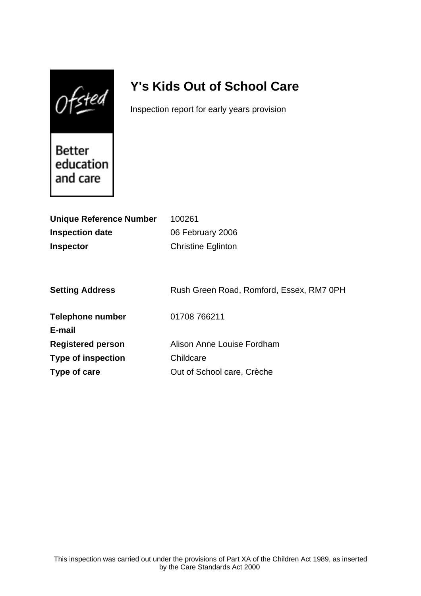$0$ fsted

# **Y's Kids Out of School Care**

Inspection report for early years provision

Better education and care

| <b>Unique Reference Number</b> | 100261                                   |
|--------------------------------|------------------------------------------|
| <b>Inspection date</b>         | 06 February 2006                         |
| <b>Inspector</b>               | <b>Christine Eglinton</b>                |
|                                |                                          |
|                                |                                          |
| <b>Setting Address</b>         | Rush Green Road, Romford, Essex, RM7 0PH |
| Telephone number               | 01708 766211                             |
| E-mail                         |                                          |
| <b>Registered person</b>       | Alison Anne Louise Fordham               |
| <b>Type of inspection</b>      | Childcare                                |
| Type of care                   | Out of School care, Crèche               |
|                                |                                          |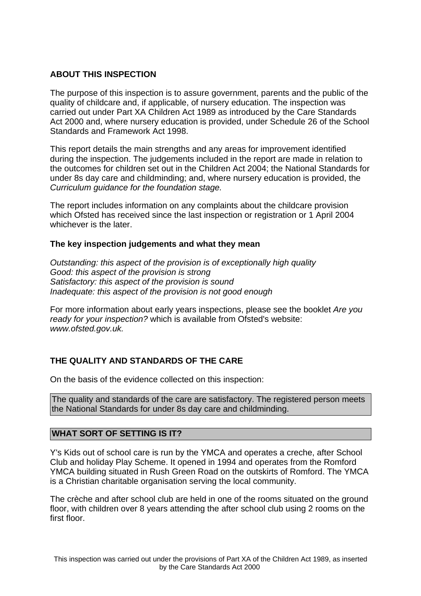# **ABOUT THIS INSPECTION**

The purpose of this inspection is to assure government, parents and the public of the quality of childcare and, if applicable, of nursery education. The inspection was carried out under Part XA Children Act 1989 as introduced by the Care Standards Act 2000 and, where nursery education is provided, under Schedule 26 of the School Standards and Framework Act 1998.

This report details the main strengths and any areas for improvement identified during the inspection. The judgements included in the report are made in relation to the outcomes for children set out in the Children Act 2004; the National Standards for under 8s day care and childminding; and, where nursery education is provided, the Curriculum guidance for the foundation stage.

The report includes information on any complaints about the childcare provision which Ofsted has received since the last inspection or registration or 1 April 2004 whichever is the later.

## **The key inspection judgements and what they mean**

Outstanding: this aspect of the provision is of exceptionally high quality Good: this aspect of the provision is strong Satisfactory: this aspect of the provision is sound Inadequate: this aspect of the provision is not good enough

For more information about early years inspections, please see the booklet Are you ready for your inspection? which is available from Ofsted's website: www.ofsted.gov.uk.

# **THE QUALITY AND STANDARDS OF THE CARE**

On the basis of the evidence collected on this inspection:

The quality and standards of the care are satisfactory. The registered person meets the National Standards for under 8s day care and childminding.

## **WHAT SORT OF SETTING IS IT?**

Y's Kids out of school care is run by the YMCA and operates a creche, after School Club and holiday Play Scheme. It opened in 1994 and operates from the Romford YMCA building situated in Rush Green Road on the outskirts of Romford. The YMCA is a Christian charitable organisation serving the local community.

The crèche and after school club are held in one of the rooms situated on the ground floor, with children over 8 years attending the after school club using 2 rooms on the first floor.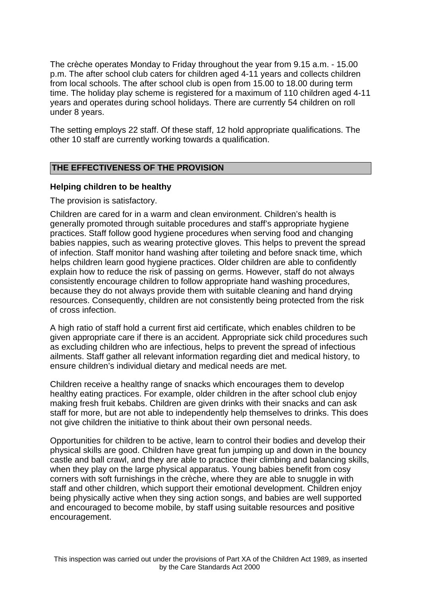The crèche operates Monday to Friday throughout the year from 9.15 a.m. - 15.00 p.m. The after school club caters for children aged 4-11 years and collects children from local schools. The after school club is open from 15.00 to 18.00 during term time. The holiday play scheme is registered for a maximum of 110 children aged 4-11 years and operates during school holidays. There are currently 54 children on roll under 8 years.

The setting employs 22 staff. Of these staff, 12 hold appropriate qualifications. The other 10 staff are currently working towards a qualification.

## **THE EFFECTIVENESS OF THE PROVISION**

#### **Helping children to be healthy**

The provision is satisfactory.

Children are cared for in a warm and clean environment. Children's health is generally promoted through suitable procedures and staff's appropriate hygiene practices. Staff follow good hygiene procedures when serving food and changing babies nappies, such as wearing protective gloves. This helps to prevent the spread of infection. Staff monitor hand washing after toileting and before snack time, which helps children learn good hygiene practices. Older children are able to confidently explain how to reduce the risk of passing on germs. However, staff do not always consistently encourage children to follow appropriate hand washing procedures, because they do not always provide them with suitable cleaning and hand drying resources. Consequently, children are not consistently being protected from the risk of cross infection.

A high ratio of staff hold a current first aid certificate, which enables children to be given appropriate care if there is an accident. Appropriate sick child procedures such as excluding children who are infectious, helps to prevent the spread of infectious ailments. Staff gather all relevant information regarding diet and medical history, to ensure children's individual dietary and medical needs are met.

Children receive a healthy range of snacks which encourages them to develop healthy eating practices. For example, older children in the after school club enjoy making fresh fruit kebabs. Children are given drinks with their snacks and can ask staff for more, but are not able to independently help themselves to drinks. This does not give children the initiative to think about their own personal needs.

Opportunities for children to be active, learn to control their bodies and develop their physical skills are good. Children have great fun jumping up and down in the bouncy castle and ball crawl, and they are able to practice their climbing and balancing skills, when they play on the large physical apparatus. Young babies benefit from cosy corners with soft furnishings in the crèche, where they are able to snuggle in with staff and other children, which support their emotional development. Children enjoy being physically active when they sing action songs, and babies are well supported and encouraged to become mobile, by staff using suitable resources and positive encouragement.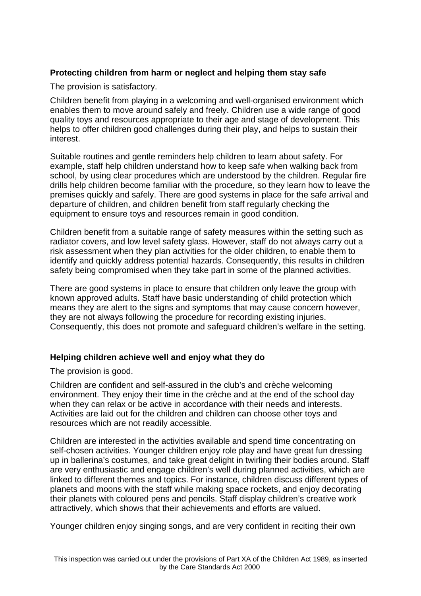# **Protecting children from harm or neglect and helping them stay safe**

The provision is satisfactory.

Children benefit from playing in a welcoming and well-organised environment which enables them to move around safely and freely. Children use a wide range of good quality toys and resources appropriate to their age and stage of development. This helps to offer children good challenges during their play, and helps to sustain their interest.

Suitable routines and gentle reminders help children to learn about safety. For example, staff help children understand how to keep safe when walking back from school, by using clear procedures which are understood by the children. Regular fire drills help children become familiar with the procedure, so they learn how to leave the premises quickly and safely. There are good systems in place for the safe arrival and departure of children, and children benefit from staff regularly checking the equipment to ensure toys and resources remain in good condition.

Children benefit from a suitable range of safety measures within the setting such as radiator covers, and low level safety glass. However, staff do not always carry out a risk assessment when they plan activities for the older children, to enable them to identify and quickly address potential hazards. Consequently, this results in children safety being compromised when they take part in some of the planned activities.

There are good systems in place to ensure that children only leave the group with known approved adults. Staff have basic understanding of child protection which means they are alert to the signs and symptoms that may cause concern however, they are not always following the procedure for recording existing injuries. Consequently, this does not promote and safeguard children's welfare in the setting.

# **Helping children achieve well and enjoy what they do**

The provision is good.

Children are confident and self-assured in the club's and crèche welcoming environment. They enjoy their time in the crèche and at the end of the school day when they can relax or be active in accordance with their needs and interests. Activities are laid out for the children and children can choose other toys and resources which are not readily accessible.

Children are interested in the activities available and spend time concentrating on self-chosen activities. Younger children enjoy role play and have great fun dressing up in ballerina's costumes, and take great delight in twirling their bodies around. Staff are very enthusiastic and engage children's well during planned activities, which are linked to different themes and topics. For instance, children discuss different types of planets and moons with the staff while making space rockets, and enjoy decorating their planets with coloured pens and pencils. Staff display children's creative work attractively, which shows that their achievements and efforts are valued.

Younger children enjoy singing songs, and are very confident in reciting their own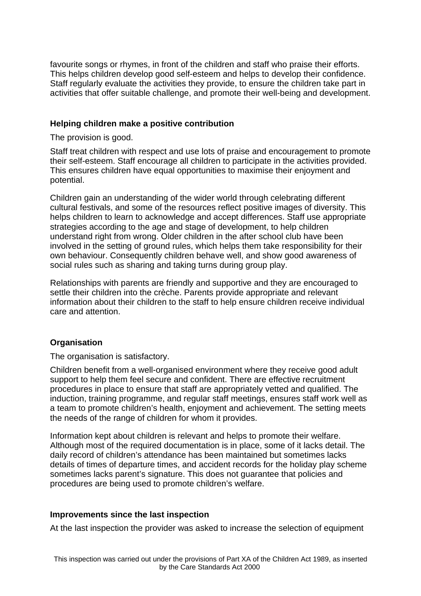favourite songs or rhymes, in front of the children and staff who praise their efforts. This helps children develop good self-esteem and helps to develop their confidence. Staff regularly evaluate the activities they provide, to ensure the children take part in activities that offer suitable challenge, and promote their well-being and development.

#### **Helping children make a positive contribution**

The provision is good.

Staff treat children with respect and use lots of praise and encouragement to promote their self-esteem. Staff encourage all children to participate in the activities provided. This ensures children have equal opportunities to maximise their enjoyment and potential.

Children gain an understanding of the wider world through celebrating different cultural festivals, and some of the resources reflect positive images of diversity. This helps children to learn to acknowledge and accept differences. Staff use appropriate strategies according to the age and stage of development, to help children understand right from wrong. Older children in the after school club have been involved in the setting of ground rules, which helps them take responsibility for their own behaviour. Consequently children behave well, and show good awareness of social rules such as sharing and taking turns during group play.

Relationships with parents are friendly and supportive and they are encouraged to settle their children into the crèche. Parents provide appropriate and relevant information about their children to the staff to help ensure children receive individual care and attention.

## **Organisation**

The organisation is satisfactory.

Children benefit from a well-organised environment where they receive good adult support to help them feel secure and confident. There are effective recruitment procedures in place to ensure that staff are appropriately vetted and qualified. The induction, training programme, and regular staff meetings, ensures staff work well as a team to promote children's health, enjoyment and achievement. The setting meets the needs of the range of children for whom it provides.

Information kept about children is relevant and helps to promote their welfare. Although most of the required documentation is in place, some of it lacks detail. The daily record of children's attendance has been maintained but sometimes lacks details of times of departure times, and accident records for the holiday play scheme sometimes lacks parent's signature. This does not guarantee that policies and procedures are being used to promote children's welfare.

## **Improvements since the last inspection**

At the last inspection the provider was asked to increase the selection of equipment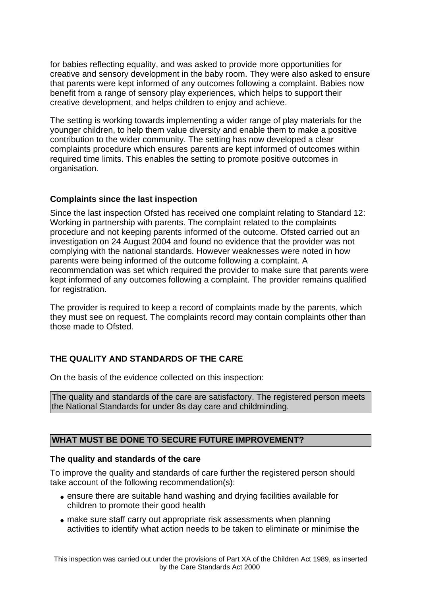for babies reflecting equality, and was asked to provide more opportunities for creative and sensory development in the baby room. They were also asked to ensure that parents were kept informed of any outcomes following a complaint. Babies now benefit from a range of sensory play experiences, which helps to support their creative development, and helps children to enjoy and achieve.

The setting is working towards implementing a wider range of play materials for the younger children, to help them value diversity and enable them to make a positive contribution to the wider community. The setting has now developed a clear complaints procedure which ensures parents are kept informed of outcomes within required time limits. This enables the setting to promote positive outcomes in organisation.

# **Complaints since the last inspection**

Since the last inspection Ofsted has received one complaint relating to Standard 12: Working in partnership with parents. The complaint related to the complaints procedure and not keeping parents informed of the outcome. Ofsted carried out an investigation on 24 August 2004 and found no evidence that the provider was not complying with the national standards. However weaknesses were noted in how parents were being informed of the outcome following a complaint. A recommendation was set which required the provider to make sure that parents were kept informed of any outcomes following a complaint. The provider remains qualified for registration.

The provider is required to keep a record of complaints made by the parents, which they must see on request. The complaints record may contain complaints other than those made to Ofsted.

# **THE QUALITY AND STANDARDS OF THE CARE**

On the basis of the evidence collected on this inspection:

The quality and standards of the care are satisfactory. The registered person meets the National Standards for under 8s day care and childminding.

# **WHAT MUST BE DONE TO SECURE FUTURE IMPROVEMENT?**

## **The quality and standards of the care**

To improve the quality and standards of care further the registered person should take account of the following recommendation(s):

- ensure there are suitable hand washing and drying facilities available for children to promote their good health
- make sure staff carry out appropriate risk assessments when planning activities to identify what action needs to be taken to eliminate or minimise the